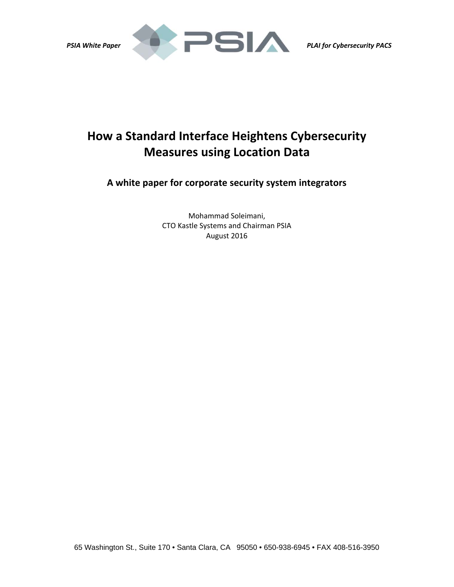

# **How a Standard Interface Heightens Cybersecurity Measures using Location Data**

**A white paper for corporate security system integrators**

Mohammad Soleimani, CTO Kastle Systems and Chairman PSIA August 2016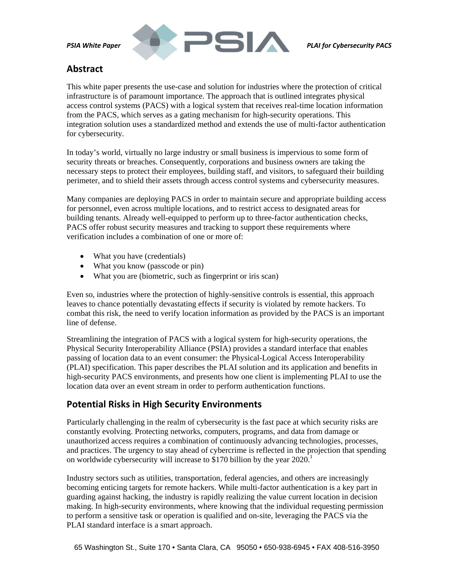

# **Abstract**

This white paper presents the use-case and solution for industries where the protection of critical infrastructure is of paramount importance. The approach that is outlined integrates physical access control systems (PACS) with a logical system that receives real-time location information from the PACS, which serves as a gating mechanism for high-security operations. This integration solution uses a standardized method and extends the use of multi-factor authentication for cybersecurity.

In today's world, virtually no large industry or small business is impervious to some form of security threats or breaches. Consequently, corporations and business owners are taking the necessary steps to protect their employees, building staff, and visitors, to safeguard their building perimeter, and to shield their assets through access control systems and cybersecurity measures.

Many companies are deploying PACS in order to maintain secure and appropriate building access for personnel, even across multiple locations, and to restrict access to designated areas for building tenants. Already well-equipped to perform up to three-factor authentication checks, PACS offer robust security measures and tracking to support these requirements where verification includes a combination of one or more of:

- What you have (credentials)
- What you know (passcode or pin)
- What you are (biometric, such as fingerprint or iris scan)

Even so, industries where the protection of highly-sensitive controls is essential, this approach leaves to chance potentially devastating effects if security is violated by remote hackers. To combat this risk, the need to verify location information as provided by the PACS is an important line of defense.

Streamlining the integration of PACS with a logical system for high-security operations, the Physical Security Interoperability Alliance (PSIA) provides a standard interface that enables passing of location data to an event consumer: the Physical-Logical Access Interoperability (PLAI) specification. This paper describes the PLAI solution and its application and benefits in high-security PACS environments, and presents how one client is implementing PLAI to use the location data over an event stream in order to perform authentication functions.

# **Potential Risks in High Security Environments**

Particularly challenging in the realm of cybersecurity is the fast pace at which security risks are constantly evolving. Protecting networks, computers, programs, and data from damage or unauthorized access requires a combination of continuously advancing technologies, processes, and practices. The urgency to stay ahead of cybercrime is reflected in the projection that spending on worldwide cybersecurity will increase to \$170 billion by the year  $2020<sup>1</sup>$ 

Industry sectors such as utilities, transportation, federal agencies, and others are increasingly becoming enticing targets for remote hackers. While multi-factor authentication is a key part in guarding against hacking, the industry is rapidly realizing the value current location in decision making. In high-security environments, where knowing that the individual requesting permission to perform a sensitive task or operation is qualified and on-site, leveraging the PACS via the PLAI standard interface is a smart approach.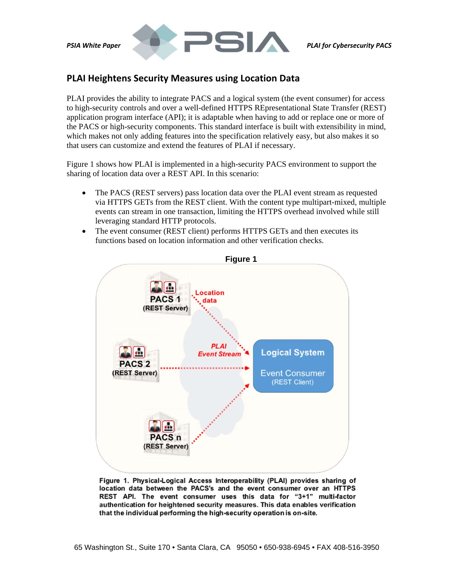



# **PLAI Heightens Security Measures using Location Data**

PLAI provides the ability to integrate PACS and a logical system (the event consumer) for access to high-security controls and over a well-defined HTTPS REpresentational State Transfer (REST) application program interface (API); it is adaptable when having to add or replace one or more of the PACS or high-security components. This standard interface is built with extensibility in mind, which makes not only adding features into the specification relatively easy, but also makes it so that users can customize and extend the features of PLAI if necessary.

Figure 1 shows how PLAI is implemented in a high-security PACS environment to support the sharing of location data over a REST API. In this scenario:

- The PACS (REST servers) pass location data over the PLAI event stream as requested via HTTPS GETs from the REST client. With the content type multipart-mixed, multiple events can stream in one transaction, limiting the HTTPS overhead involved while still leveraging standard HTTP protocols.
- The event consumer (REST client) performs HTTPS GETs and then executes its functions based on location information and other verification checks.



Figure 1. Physical-Logical Access Interoperability (PLAI) provides sharing of location data between the PACS's and the event consumer over an HTTPS REST API. The event consumer uses this data for "3+1" multi-factor authentication for heightened security measures. This data enables verification that the individual performing the high-security operation is on-site.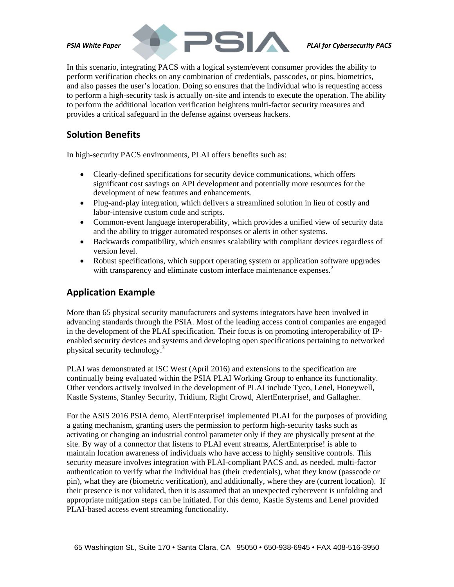

In this scenario, integrating PACS with a logical system/event consumer provides the ability to perform verification checks on any combination of credentials, passcodes, or pins, biometrics, and also passes the user's location. Doing so ensures that the individual who is requesting access to perform a high-security task is actually on-site and intends to execute the operation. The ability to perform the additional location verification heightens multi-factor security measures and provides a critical safeguard in the defense against overseas hackers.

#### **Solution Benefits**

In high-security PACS environments, PLAI offers benefits such as:

- Clearly-defined specifications for security device communications, which offers significant cost savings on API development and potentially more resources for the development of new features and enhancements.
- Plug-and-play integration, which delivers a streamlined solution in lieu of costly and labor-intensive custom code and scripts.
- Common-event language interoperability, which provides a unified view of security data and the ability to trigger automated responses or alerts in other systems.
- Backwards compatibility, which ensures scalability with compliant devices regardless of version level.
- Robust specifications, which support operating system or application software upgrades with transparency and eliminate custom interface maintenance expenses.<sup>2</sup>

# **Application Example**

More than 65 physical security manufacturers and systems integrators have been involved in advancing standards through the PSIA. Most of the leading access control companies are engaged in the development of the PLAI specification. Their focus is on promoting interoperability of IPenabled security devices and systems and developing open specifications pertaining to networked physical security technology.<sup>3</sup>

PLAI was demonstrated at ISC West (April 2016) and extensions to the specification are continually being evaluated within the PSIA PLAI Working Group to enhance its functionality. Other vendors actively involved in the development of PLAI include Tyco, Lenel, Honeywell, Kastle Systems, Stanley Security, Tridium, Right Crowd, AlertEnterprise!, and Gallagher.

For the ASIS 2016 PSIA demo, AlertEnterprise! implemented PLAI for the purposes of providing a gating mechanism, granting users the permission to perform high-security tasks such as activating or changing an industrial control parameter only if they are physically present at the site. By way of a connector that listens to PLAI event streams, AlertEnterprise! is able to maintain location awareness of individuals who have access to highly sensitive controls. This security measure involves integration with PLAI-compliant PACS and, as needed, multi-factor authentication to verify what the individual has (their credentials), what they know (passcode or pin), what they are (biometric verification), and additionally, where they are (current location). If their presence is not validated, then it is assumed that an unexpected cyberevent is unfolding and appropriate mitigation steps can be initiated. For this demo, Kastle Systems and Lenel provided PLAI-based access event streaming functionality.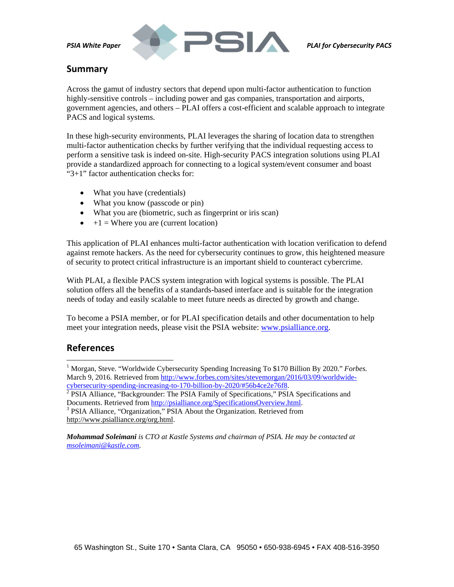

# **Summary**

Across the gamut of industry sectors that depend upon multi-factor authentication to function highly-sensitive controls – including power and gas companies, transportation and airports, government agencies, and others – PLAI offers a cost-efficient and scalable approach to integrate PACS and logical systems.

In these high-security environments, PLAI leverages the sharing of location data to strengthen multi-factor authentication checks by further verifying that the individual requesting access to perform a sensitive task is indeed on-site. High-security PACS integration solutions using PLAI provide a standardized approach for connecting to a logical system/event consumer and boast "3+1" factor authentication checks for:

- What you have (credentials)
- What you know (passcode or pin)
- What you are (biometric, such as fingerprint or iris scan)
- $+1$  = Where you are (current location)

This application of PLAI enhances multi-factor authentication with location verification to defend against remote hackers. As the need for cybersecurity continues to grow, this heightened measure of security to protect critical infrastructure is an important shield to counteract cybercrime.

With PLAI, a flexible PACS system integration with logical systems is possible. The PLAI solution offers all the benefits of a standards-based interface and is suitable for the integration needs of today and easily scalable to meet future needs as directed by growth and change.

To become a PSIA member, or for PLAI specification details and other documentation to help meet your integration needs, please visit the PSIA website: www.psialliance.org.

#### **References**

 $\overline{a}$ 

<sup>&</sup>lt;sup>1</sup> Morgan, Steve. "Worldwide Cybersecurity Spending Increasing To \$170 Billion By 2020." *Forbes.* March 9, 2016. Retrieved from http://www.forbes.com/sites/stevemorgan/2016/03/09/worldwidecybersecurity-spending-increasing-to-170-billion-by-2020/#56b4ce2e76f8.<br><sup>2</sup> PSIA Alliance, "Backgrounder: The PSIA Family of Specifications," PSIA Specifications and

Documents. Retrieved from http://psialliance.org/SpecificationsOverview.html.<br><sup>3</sup> PSIA Alliance, "Organization," PSIA About the Organization. Retrieved from

http://www.psialliance.org/org.html.

*Mohammad Soleimani is CTO at Kastle Systems and chairman of PSIA. He may be contacted at msoleimani@kastle.com.*